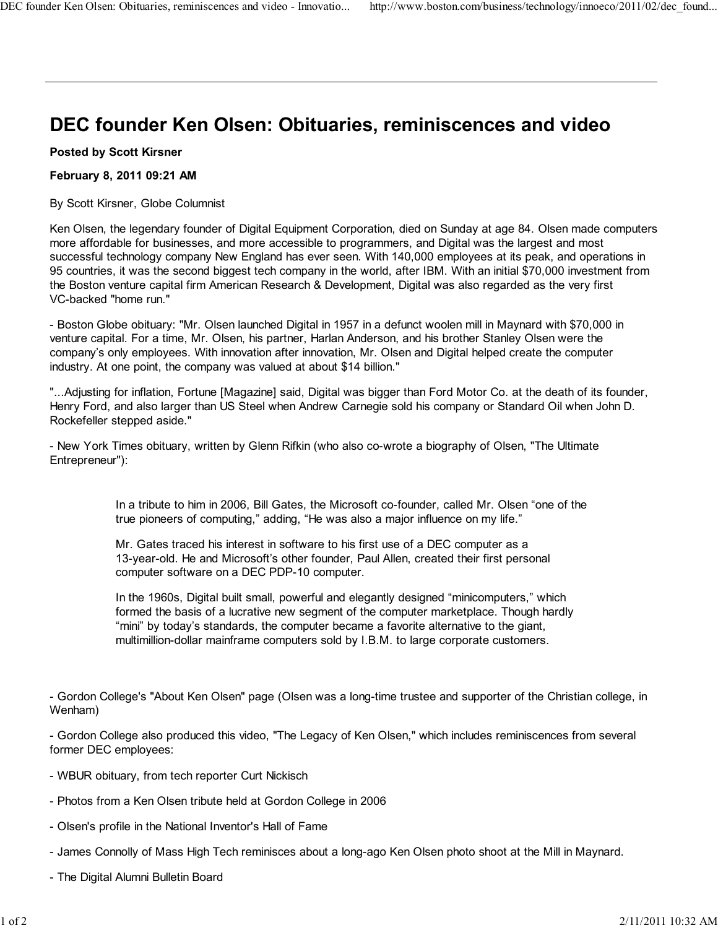## DEC founder Ken Olsen: Obituaries, reminiscences and video

Posted by Scott Kirsner

## February 8, 2011 09:21 AM

By Scott Kirsner, Globe Columnist

Ken Olsen, the legendary founder of Digital Equipment Corporation, died on Sunday at age 84. Olsen made computers more affordable for businesses, and more accessible to programmers, and Digital was the largest and most successful technology company New England has ever seen. With 140,000 employees at its peak, and operations in 95 countries, it was the second biggest tech company in the world, after IBM. With an initial \$70,000 investment from the Boston venture capital firm American Research & Development, Digital was also regarded as the very first VC-backed "home run."

- Boston Globe obituary: "Mr. Olsen launched Digital in 1957 in a defunct woolen mill in Maynard with \$70,000 in venture capital. For a time, Mr. Olsen, his partner, Harlan Anderson, and his brother Stanley Olsen were the company's only employees. With innovation after innovation, Mr. Olsen and Digital helped create the computer industry. At one point, the company was valued at about \$14 billion."

"...Adjusting for inflation, Fortune [Magazine] said, Digital was bigger than Ford Motor Co. at the death of its founder, Henry Ford, and also larger than US Steel when Andrew Carnegie sold his company or Standard Oil when John D. Rockefeller stepped aside."

- New York Times obituary, written by Glenn Rifkin (who also co-wrote a biography of Olsen, "The Ultimate Entrepreneur"):

> In a tribute to him in 2006, Bill Gates, the Microsoft co-founder, called Mr. Olsen "one of the true pioneers of computing," adding, "He was also a major influence on my life."

Mr. Gates traced his interest in software to his first use of a DEC computer as a 13-year-old. He and Microsoft's other founder, Paul Allen, created their first personal computer software on a DEC PDP-10 computer.

In the 1960s, Digital built small, powerful and elegantly designed "minicomputers," which formed the basis of a lucrative new segment of the computer marketplace. Though hardly "mini" by today's standards, the computer became a favorite alternative to the giant, multimillion-dollar mainframe computers sold by I.B.M. to large corporate customers.

- Gordon College's "About Ken Olsen" page (Olsen was a long-time trustee and supporter of the Christian college, in Wenham)

- Gordon College also produced this video, "The Legacy of Ken Olsen," which includes reminiscences from several former DEC employees:

- WBUR obituary, from tech reporter Curt Nickisch
- Photos from a Ken Olsen tribute held at Gordon College in 2006
- Olsen's profile in the National Inventor's Hall of Fame
- James Connolly of Mass High Tech reminisces about a long-ago Ken Olsen photo shoot at the Mill in Maynard.
- The Digital Alumni Bulletin Board